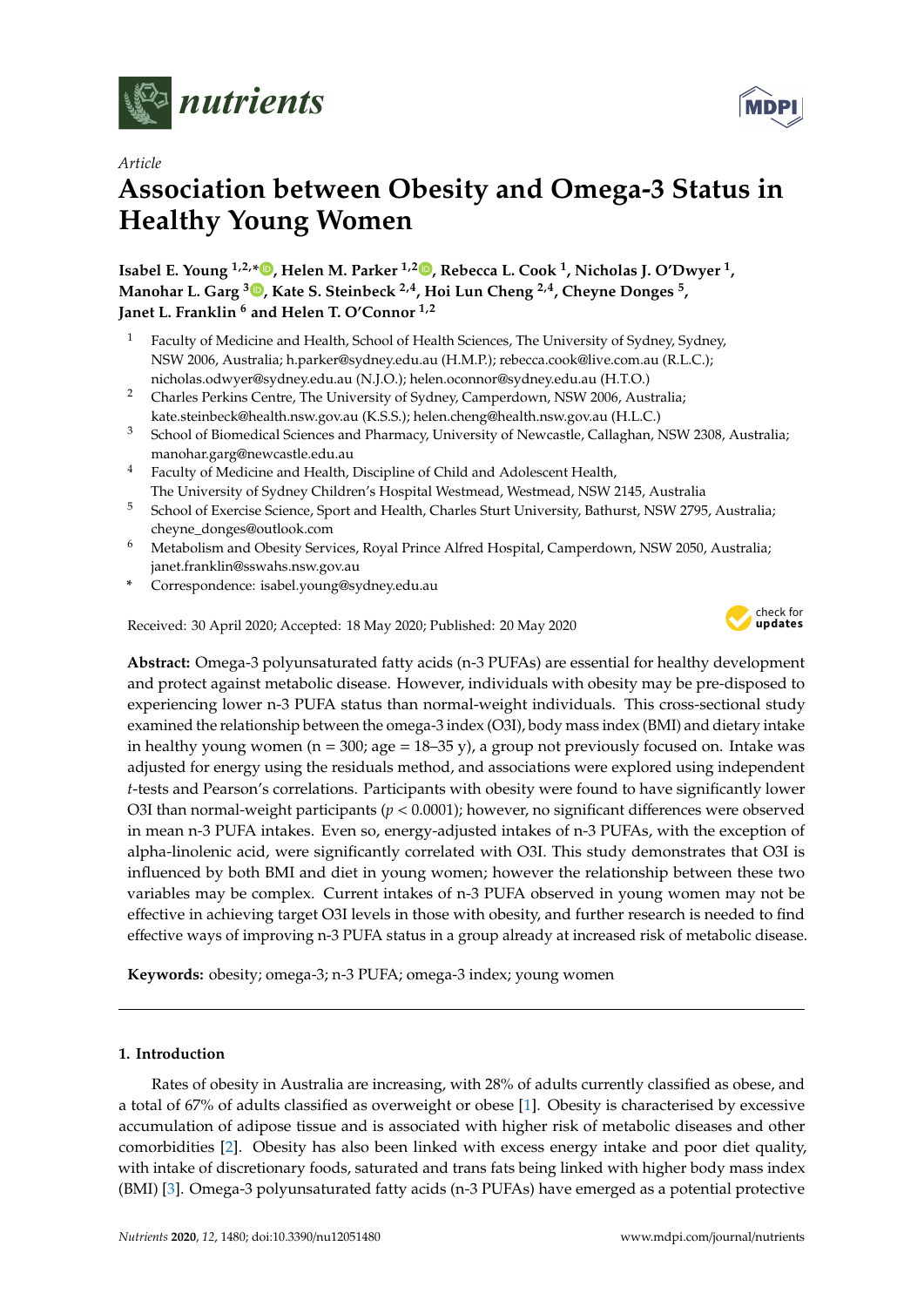

*Article*

# **Association between Obesity and Omega-3 Status in Healthy Young Women**

**Isabel E. Young 1,2,[\\*](https://orcid.org/0000-0002-2876-6580) , Helen M. Parker 1,2 [,](https://orcid.org/0000-0002-3826-2765) Rebecca L. Cook <sup>1</sup> , Nicholas J. O'Dwyer <sup>1</sup> , Manohar L. Garg <sup>3</sup> [,](https://orcid.org/0000-0003-0514-0865) Kate S. Steinbeck 2,4, Hoi Lun Cheng 2,4, Cheyne Donges <sup>5</sup> , Janet L. Franklin <sup>6</sup> and Helen T. O'Connor 1,2**

- <sup>1</sup> Faculty of Medicine and Health, School of Health Sciences, The University of Sydney, Sydney, NSW 2006, Australia; h.parker@sydney.edu.au (H.M.P.); rebecca.cook@live.com.au (R.L.C.); nicholas.odwyer@sydney.edu.au (N.J.O.); helen.oconnor@sydney.edu.au (H.T.O.)
- <sup>2</sup> Charles Perkins Centre, The University of Sydney, Camperdown, NSW 2006, Australia; kate.steinbeck@health.nsw.gov.au (K.S.S.); helen.cheng@health.nsw.gov.au (H.L.C.)
- <sup>3</sup> School of Biomedical Sciences and Pharmacy, University of Newcastle, Callaghan, NSW 2308, Australia; manohar.garg@newcastle.edu.au
- <sup>4</sup> Faculty of Medicine and Health, Discipline of Child and Adolescent Health, The University of Sydney Children's Hospital Westmead, Westmead, NSW 2145, Australia
- <sup>5</sup> School of Exercise Science, Sport and Health, Charles Sturt University, Bathurst, NSW 2795, Australia; cheyne\_donges@outlook.com
- <sup>6</sup> Metabolism and Obesity Services, Royal Prince Alfred Hospital, Camperdown, NSW 2050, Australia; janet.franklin@sswahs.nsw.gov.au
- **\*** Correspondence: isabel.young@sydney.edu.au

Received: 30 April 2020; Accepted: 18 May 2020; Published: 20 May 2020



**Abstract:** Omega-3 polyunsaturated fatty acids (n-3 PUFAs) are essential for healthy development and protect against metabolic disease. However, individuals with obesity may be pre-disposed to experiencing lower n-3 PUFA status than normal-weight individuals. This cross-sectional study examined the relationship between the omega-3 index (O3I), body mass index (BMI) and dietary intake in healthy young women ( $n = 300$ ; age =  $18-35$  y), a group not previously focused on. Intake was adjusted for energy using the residuals method, and associations were explored using independent *t*-tests and Pearson's correlations. Participants with obesity were found to have significantly lower O3I than normal-weight participants (*p* < 0.0001); however, no significant differences were observed in mean n-3 PUFA intakes. Even so, energy-adjusted intakes of n-3 PUFAs, with the exception of alpha-linolenic acid, were significantly correlated with O3I. This study demonstrates that O3I is influenced by both BMI and diet in young women; however the relationship between these two variables may be complex. Current intakes of n-3 PUFA observed in young women may not be effective in achieving target O3I levels in those with obesity, and further research is needed to find effective ways of improving n-3 PUFA status in a group already at increased risk of metabolic disease.

**Keywords:** obesity; omega-3; n-3 PUFA; omega-3 index; young women

## **1. Introduction**

Rates of obesity in Australia are increasing, with 28% of adults currently classified as obese, and a total of 67% of adults classified as overweight or obese [\[1\]](#page-6-0). Obesity is characterised by excessive accumulation of adipose tissue and is associated with higher risk of metabolic diseases and other comorbidities [\[2\]](#page-6-1). Obesity has also been linked with excess energy intake and poor diet quality, with intake of discretionary foods, saturated and trans fats being linked with higher body mass index (BMI) [\[3\]](#page-6-2). Omega-3 polyunsaturated fatty acids (n-3 PUFAs) have emerged as a potential protective

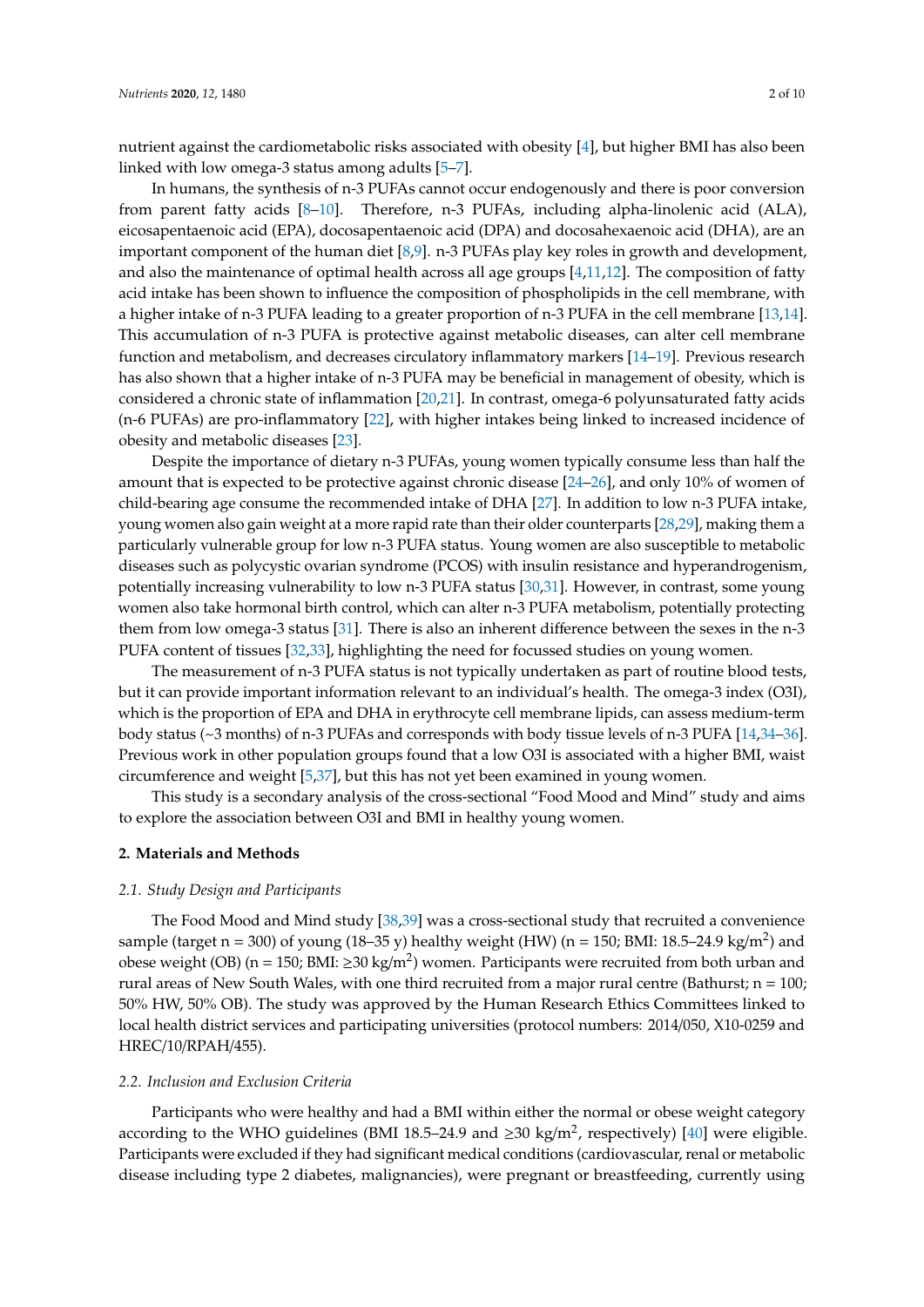nutrient against the cardiometabolic risks associated with obesity [\[4\]](#page-6-3), but higher BMI has also been linked with low omega-3 status among adults [\[5–](#page-6-4)[7\]](#page-7-0).

In humans, the synthesis of n-3 PUFAs cannot occur endogenously and there is poor conversion from parent fatty acids [\[8](#page-7-1)[–10\]](#page-7-2). Therefore, n-3 PUFAs, including alpha-linolenic acid (ALA), eicosapentaenoic acid (EPA), docosapentaenoic acid (DPA) and docosahexaenoic acid (DHA), are an important component of the human diet [\[8](#page-7-1)[,9\]](#page-7-3). n-3 PUFAs play key roles in growth and development, and also the maintenance of optimal health across all age groups [\[4](#page-6-3)[,11](#page-7-4)[,12\]](#page-7-5). The composition of fatty acid intake has been shown to influence the composition of phospholipids in the cell membrane, with a higher intake of n-3 PUFA leading to a greater proportion of n-3 PUFA in the cell membrane [\[13](#page-7-6)[,14\]](#page-7-7). This accumulation of n-3 PUFA is protective against metabolic diseases, can alter cell membrane function and metabolism, and decreases circulatory inflammatory markers [\[14–](#page-7-7)[19\]](#page-7-8). Previous research has also shown that a higher intake of n-3 PUFA may be beneficial in management of obesity, which is considered a chronic state of inflammation [\[20](#page-7-9)[,21\]](#page-7-10). In contrast, omega-6 polyunsaturated fatty acids (n-6 PUFAs) are pro-inflammatory [\[22\]](#page-7-11), with higher intakes being linked to increased incidence of obesity and metabolic diseases [\[23\]](#page-7-12).

Despite the importance of dietary n-3 PUFAs, young women typically consume less than half the amount that is expected to be protective against chronic disease [\[24–](#page-7-13)[26\]](#page-7-14), and only 10% of women of child-bearing age consume the recommended intake of DHA [\[27\]](#page-7-15). In addition to low n-3 PUFA intake, young women also gain weight at a more rapid rate than their older counterparts [\[28](#page-7-16)[,29\]](#page-8-0), making them a particularly vulnerable group for low n-3 PUFA status. Young women are also susceptible to metabolic diseases such as polycystic ovarian syndrome (PCOS) with insulin resistance and hyperandrogenism, potentially increasing vulnerability to low n-3 PUFA status [\[30](#page-8-1)[,31\]](#page-8-2). However, in contrast, some young women also take hormonal birth control, which can alter n-3 PUFA metabolism, potentially protecting them from low omega-3 status [\[31\]](#page-8-2). There is also an inherent difference between the sexes in the n-3 PUFA content of tissues [\[32,](#page-8-3)[33\]](#page-8-4), highlighting the need for focussed studies on young women.

The measurement of n-3 PUFA status is not typically undertaken as part of routine blood tests, but it can provide important information relevant to an individual's health. The omega-3 index (O3I), which is the proportion of EPA and DHA in erythrocyte cell membrane lipids, can assess medium-term body status (~3 months) of n-3 PUFAs and corresponds with body tissue levels of n-3 PUFA [\[14,](#page-7-7)[34–](#page-8-5)[36\]](#page-8-6). Previous work in other population groups found that a low O3I is associated with a higher BMI, waist circumference and weight [\[5,](#page-6-4)[37\]](#page-8-7), but this has not yet been examined in young women.

This study is a secondary analysis of the cross-sectional "Food Mood and Mind" study and aims to explore the association between O3I and BMI in healthy young women.

#### **2. Materials and Methods**

## *2.1. Study Design and Participants*

The Food Mood and Mind study [\[38,](#page-8-8)[39\]](#page-8-9) was a cross-sectional study that recruited a convenience sample (target n = 300) of young (18–35 y) healthy weight (HW) (n = 150; BMI: 18.5–24.9 kg/m<sup>2</sup>) and obese weight (OB) (n = 150; BMI:  $\geq$ 30 kg/m<sup>2</sup>) women. Participants were recruited from both urban and rural areas of New South Wales, with one third recruited from a major rural centre (Bathurst;  $n = 100$ ; 50% HW, 50% OB). The study was approved by the Human Research Ethics Committees linked to local health district services and participating universities (protocol numbers: 2014/050, X10-0259 and HREC/10/RPAH/455).

## *2.2. Inclusion and Exclusion Criteria*

Participants who were healthy and had a BMI within either the normal or obese weight category according to the WHO guidelines (BMI 18.5–24.9 and  $\geq$ 30 kg/m<sup>2</sup>, respectively) [\[40\]](#page-8-10) were eligible. Participants were excluded if they had significant medical conditions (cardiovascular, renal or metabolic disease including type 2 diabetes, malignancies), were pregnant or breastfeeding, currently using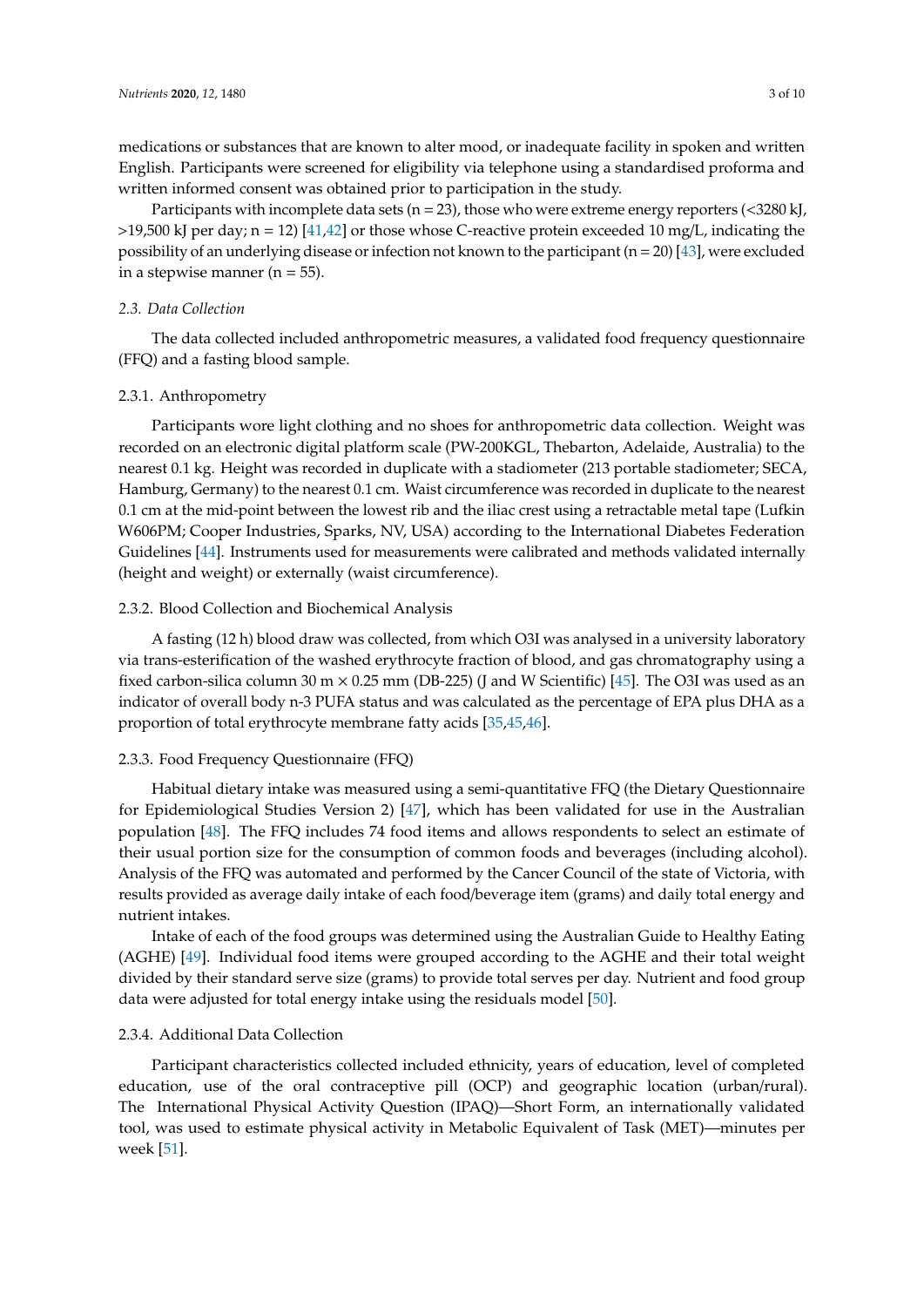medications or substances that are known to alter mood, or inadequate facility in spoken and written English. Participants were screened for eligibility via telephone using a standardised proforma and written informed consent was obtained prior to participation in the study.

Participants with incomplete data sets ( $n = 23$ ), those who were extreme energy reporters (<3280 kJ,  $>19,500$  kJ per day; n = 12) [\[41](#page-8-11)[,42\]](#page-8-12) or those whose C-reactive protein exceeded 10 mg/L, indicating the possibility of an underlying disease or infection not known to the participant (n = 20) [\[43\]](#page-8-13), were excluded in a stepwise manner ( $n = 55$ ).

## *2.3. Data Collection*

The data collected included anthropometric measures, a validated food frequency questionnaire (FFQ) and a fasting blood sample.

## 2.3.1. Anthropometry

Participants wore light clothing and no shoes for anthropometric data collection. Weight was recorded on an electronic digital platform scale (PW-200KGL, Thebarton, Adelaide, Australia) to the nearest 0.1 kg. Height was recorded in duplicate with a stadiometer (213 portable stadiometer; SECA, Hamburg, Germany) to the nearest 0.1 cm. Waist circumference was recorded in duplicate to the nearest 0.1 cm at the mid-point between the lowest rib and the iliac crest using a retractable metal tape (Lufkin W606PM; Cooper Industries, Sparks, NV, USA) according to the International Diabetes Federation Guidelines [\[44\]](#page-8-14). Instruments used for measurements were calibrated and methods validated internally (height and weight) or externally (waist circumference).

## 2.3.2. Blood Collection and Biochemical Analysis

A fasting (12 h) blood draw was collected, from which O3I was analysed in a university laboratory via trans-esterification of the washed erythrocyte fraction of blood, and gas chromatography using a fixed carbon-silica column 30 m  $\times$  0.25 mm (DB-225) (J and W Scientific) [\[45\]](#page-8-15). The O3I was used as an indicator of overall body n-3 PUFA status and was calculated as the percentage of EPA plus DHA as a proportion of total erythrocyte membrane fatty acids [\[35,](#page-8-16)[45,](#page-8-15)[46\]](#page-8-17).

#### 2.3.3. Food Frequency Questionnaire (FFQ)

Habitual dietary intake was measured using a semi-quantitative FFQ (the Dietary Questionnaire for Epidemiological Studies Version 2) [\[47\]](#page-8-18), which has been validated for use in the Australian population [\[48\]](#page-8-19). The FFQ includes 74 food items and allows respondents to select an estimate of their usual portion size for the consumption of common foods and beverages (including alcohol). Analysis of the FFQ was automated and performed by the Cancer Council of the state of Victoria, with results provided as average daily intake of each food/beverage item (grams) and daily total energy and nutrient intakes.

Intake of each of the food groups was determined using the Australian Guide to Healthy Eating (AGHE) [\[49\]](#page-8-20). Individual food items were grouped according to the AGHE and their total weight divided by their standard serve size (grams) to provide total serves per day. Nutrient and food group data were adjusted for total energy intake using the residuals model [\[50\]](#page-8-21).

#### 2.3.4. Additional Data Collection

Participant characteristics collected included ethnicity, years of education, level of completed education, use of the oral contraceptive pill (OCP) and geographic location (urban/rural). The International Physical Activity Question (IPAQ)—Short Form, an internationally validated tool, was used to estimate physical activity in Metabolic Equivalent of Task (MET)—minutes per week [\[51\]](#page-9-0).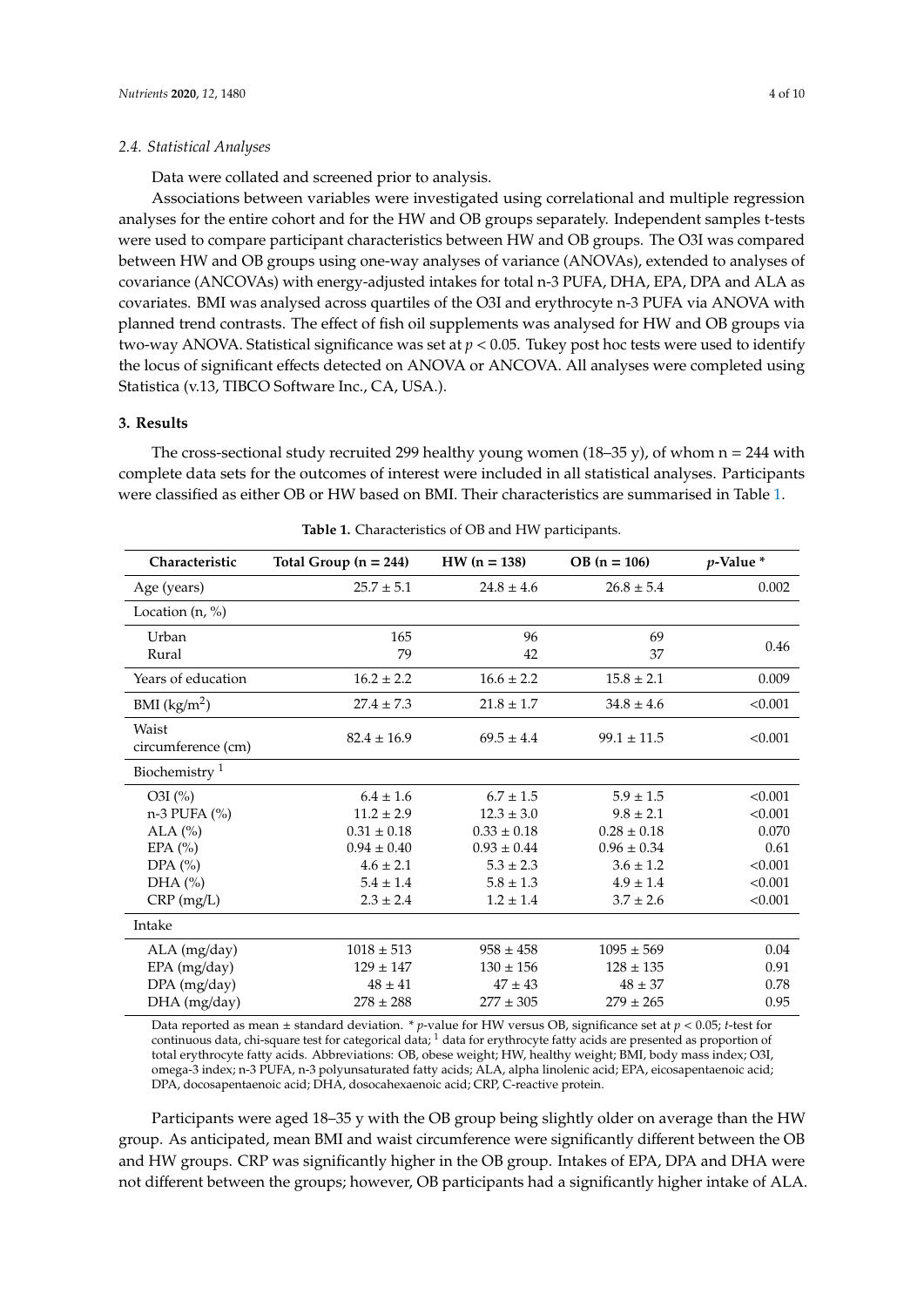Data were collated and screened prior to analysis.

Associations between variables were investigated using correlational and multiple regression analyses for the entire cohort and for the HW and OB groups separately. Independent samples t-tests were used to compare participant characteristics between HW and OB groups. The O3I was compared between HW and OB groups using one-way analyses of variance (ANOVAs), extended to analyses of covariance (ANCOVAs) with energy-adjusted intakes for total n-3 PUFA, DHA, EPA, DPA and ALA as covariates. BMI was analysed across quartiles of the O3I and erythrocyte n-3 PUFA via ANOVA with planned trend contrasts. The effect of fish oil supplements was analysed for HW and OB groups via two-way ANOVA. Statistical significance was set at *p* < 0.05. Tukey post hoc tests were used to identify the locus of significant effects detected on ANOVA or ANCOVA. All analyses were completed using Statistica (v.13, TIBCO Software Inc., CA, USA.).

## **3. Results**

The cross-sectional study recruited 299 healthy young women (18–35 y), of whom  $n = 244$  with complete data sets for the outcomes of interest were included in all statistical analyses. Participants were classified as either OB or HW based on BMI. Their characteristics are summarised in Table [1.](#page-3-0)

<span id="page-3-0"></span>

| Characteristic            | Total Group $(n = 244)$ | $HW (n = 138)$  | $OB (n = 106)$  | $p$ -Value $*$ |  |
|---------------------------|-------------------------|-----------------|-----------------|----------------|--|
| Age (years)               | $25.7 \pm 5.1$          | $24.8 \pm 4.6$  | $26.8 \pm 5.4$  | 0.002          |  |
| Location $(n, %)$         |                         |                 |                 |                |  |
| Urban                     | 165                     | 96              | 69              | 0.46           |  |
| Rural                     | 79                      | 42              | 37              |                |  |
| Years of education        | $16.2 \pm 2.2$          | $16.6 \pm 2.2$  | $15.8 \pm 2.1$  | 0.009          |  |
| BMI (kg/m <sup>2</sup> )  | $27.4 \pm 7.3$          | $21.8 \pm 1.7$  | $34.8 \pm 4.6$  | < 0.001        |  |
| Waist                     | $82.4 \pm 16.9$         | $69.5 \pm 4.4$  | $99.1 \pm 11.5$ | < 0.001        |  |
| circumference (cm)        |                         |                 |                 |                |  |
| Biochemistry <sup>1</sup> |                         |                 |                 |                |  |
| $O3I$ (%)                 | $6.4 \pm 1.6$           | $6.7 \pm 1.5$   | $5.9 \pm 1.5$   | < 0.001        |  |
| $n-3$ PUFA $(\% )$        | $11.2 \pm 2.9$          | $12.3 \pm 3.0$  | $9.8 \pm 2.1$   | < 0.001        |  |
| ALA $(%)$                 | $0.31 \pm 0.18$         | $0.33 \pm 0.18$ | $0.28 \pm 0.18$ | 0.070          |  |
| EPA $(%)$                 | $0.94 \pm 0.40$         | $0.93 \pm 0.44$ | $0.96 \pm 0.34$ | 0.61           |  |
| DPA $(\% )$               | $4.6 \pm 2.1$           | $5.3 \pm 2.3$   | $3.6 \pm 1.2$   | < 0.001        |  |
| DHA $(\% )$               | $5.4 \pm 1.4$           | $5.8 \pm 1.3$   | $4.9 \pm 1.4$   | < 0.001        |  |
| $CRP$ (mg/L)              | $2.3 \pm 2.4$           | $1.2 \pm 1.4$   | $3.7 \pm 2.6$   | < 0.001        |  |
| Intake                    |                         |                 |                 |                |  |
| ALA (mg/day)              | $1018 \pm 513$          | $958 \pm 458$   | $1095 \pm 569$  | 0.04           |  |
| EPA (mg/day)              | $129 \pm 147$           | $130 \pm 156$   | $128 \pm 135$   | 0.91           |  |
| DPA (mg/day)              | $48 \pm 41$             | $47 \pm 43$     | $48 \pm 37$     | 0.78           |  |
| DHA (mg/day)              | $278 \pm 288$           | $277 \pm 305$   | $279 \pm 265$   | 0.95           |  |

**Table 1.** Characteristics of OB and HW participants.

Data reported as mean ± standard deviation. \* *p*-value for HW versus OB, significance set at *p* < 0.05; *t*-test for continuous data, chi-square test for categorical data;  $<sup>1</sup>$  data for erythrocyte fatty acids are presented as proportion of</sup> total erythrocyte fatty acids. Abbreviations: OB, obese weight; HW, healthy weight; BMI, body mass index; O3I, omega-3 index; n-3 PUFA, n-3 polyunsaturated fatty acids; ALA, alpha linolenic acid; EPA, eicosapentaenoic acid; DPA, docosapentaenoic acid; DHA, dosocahexaenoic acid; CRP, C-reactive protein.

Participants were aged 18–35 y with the OB group being slightly older on average than the HW group. As anticipated, mean BMI and waist circumference were significantly different between the OB and HW groups. CRP was significantly higher in the OB group. Intakes of EPA, DPA and DHA were not different between the groups; however, OB participants had a significantly higher intake of ALA.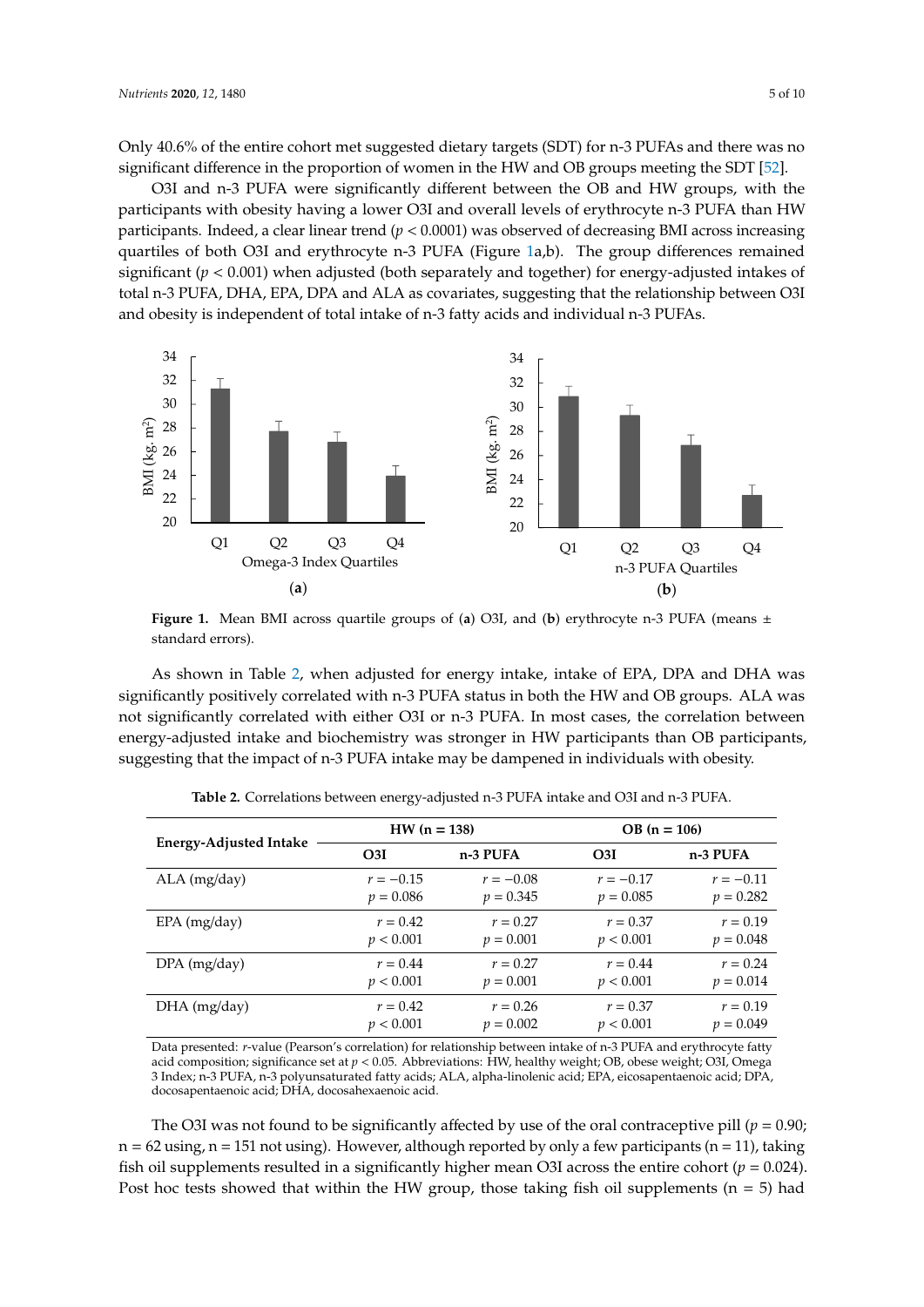Only 40.6% of the entire cohort met suggested dietary targets (SDT) for n-3 PUFAs and there was no significant difference in the proportion of women in the HW and OB groups meeting the SDT [\[52\]](#page-9-1).

O3I and n-3 PUFA were significantly different between the OB and HW groups, with the O3I and n-3 PUFA were significantly different between the OB and HW groups, with the participants with obesity having a lower O3I and overall levels of erythrocyte n-3 PUFA than HW participants with obesity having a lower O3I and overall levels of erythrocyte n-3 PUFA than HW participants. Indeed, a clear linear trend (*p* < 0.0001) was observed of decreasing BMI across increasing participants. Indeed, a clear linear trend (*p* < 0.0001) was observed of decreasing BMI across partiles of both O3I and erythrocyte n-3 PUFA (Figure [1a](#page-4-0),b). The group differences remained significant (*p* < 0.001) when adjusted (both separately and together) for energy-adjusted intakes of remained significant (*p* < 0.001) when adjusted (both separately and together) for energy-adjusted ergenerum (Frontein) metering actor (Corrody management) and the carriery and strength and strength and the relationship between O3I between 03 CH<sub>2</sub>, 2014, 2014, 2016 and 1220 at twentiers, engageding and the conditional processes and obesity is independent of total intake of n-3 fatty acids and individual n-3 PUFAs.

<span id="page-4-0"></span>

Figure 1. Mean BMI across quartile groups of (a) O3I, and (b) erythrocyte n-3 PUFA (means  $\pm$ standard errors).

significantly positively correlated with n-3 PUFA status in both the HW and OB groups. ALA was  $s_1$  groups. The HW and OB groups. Although the HW and OB groups. Also groups. Also groups. Also groups. Also groups. Also groups. Also groups. Also groups. Also groups. Also groups. Also groups. Also groups. Also groups energy-adjusted intake and biochemistry was stronger in HW participants than OB participants, energy-adjusted interaction  $\epsilon$  and  $\epsilon$  and  $\epsilon$  and  $\epsilon$  and  $\epsilon$  and  $\epsilon$  and  $\epsilon$  and  $\epsilon$  participants that the impact of  $\alpha$   $\geq$  DIEA intelse may be democracies in Hividuals with elective suggesting that the impact of n-3 PUFA intake may be dampened in individuals with obesity. suggesting that the impact of n-3 PUFA intake may be dampened in individuals with obesity. As shown in Table [2,](#page-4-1) when adjusted for energy intake, intake of EPA, DPA and DHA was

<span id="page-4-1"></span>

|                        | $HW (n = 138)$  |             | $OB (n = 106)$  |             |
|------------------------|-----------------|-------------|-----------------|-------------|
| Energy-Adjusted Intake | O <sub>3I</sub> | n-3 PUFA    | O <sub>3I</sub> | n-3 PUFA    |
| $ALA$ (mg/day)         | $r = -0.15$     | $r = -0.08$ | $r = -0.17$     | $r = -0.11$ |
|                        | $p = 0.086$     | $p = 0.345$ | $p = 0.085$     | $p = 0.282$ |
| $EPA$ (mg/day)         | $r = 0.42$      | $r = 0.27$  | $r = 0.37$      | $r = 0.19$  |
|                        | p < 0.001       | $p = 0.001$ | p < 0.001       | $p = 0.048$ |
| $DPA$ (mg/day)         | $r = 0.44$      | $r = 0.27$  | $r = 0.44$      | $r = 0.24$  |
|                        | p < 0.001       | $p = 0.001$ | p < 0.001       | $p = 0.014$ |
| $DHA$ (mg/day)         | $r = 0.42$      | $r = 0.26$  | $r = 0.37$      | $r = 0.19$  |
|                        | p < 0.001       | $p = 0.002$ | p < 0.001       | $p = 0.049$ |

Table 2. Correlations between energy-adjusted n-3 PUFA intake and O3I and n-3 PUFA.

*p* Data presented: *r*-value (Pearson's correlation) for relationship between intake of n-3 PUFA and erythrocyte fatty  $\frac{1}{2}$ 3 Index; n-3 PUFA, n-3 polyunsaturated fatty acids; ALA, alpha-linolenic acid; EPA, eicosapentaenoic acid; DPA, *p* < 0.001 *p* = 0.001 *p* < 0.001 *p* = 0.048 docosapentaenoic acid; DHA, docosahexaenoic acid. acid composition; significance set at *p* < 0.05. Abbreviations: HW, healthy weight; OB, obese weight; O3I, Omega

The O3I was not found to be significantly affected by use of the oral contraceptive pill ( $p = 0.90$ ;  $p = 62$  using, n = 151 not using). However, although reported by only a few participants (n = 11), taking fish oil supplements resulted in a significantly higher mean O3I across the entire cohort ( $p = 0.024$ ). Post hoc tests showed that within the HW group, those taking fish oil supplements (n = 5) had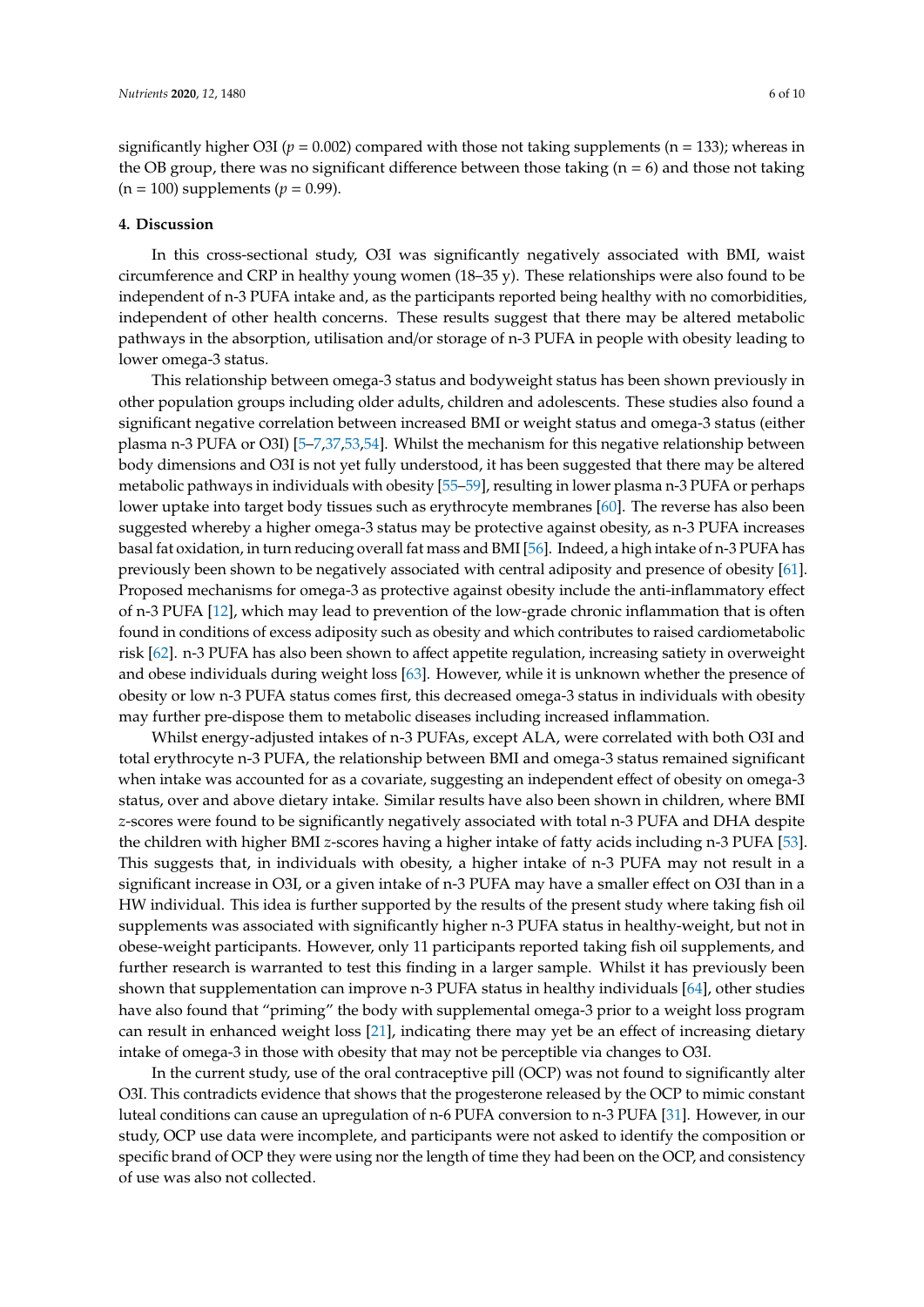significantly higher O3I ( $p = 0.002$ ) compared with those not taking supplements ( $n = 133$ ); whereas in the OB group, there was no significant difference between those taking ( $n = 6$ ) and those not taking  $(n = 100)$  supplements  $(p = 0.99)$ .

#### **4. Discussion**

In this cross-sectional study, O3I was significantly negatively associated with BMI, waist circumference and CRP in healthy young women (18–35 y). These relationships were also found to be independent of n-3 PUFA intake and, as the participants reported being healthy with no comorbidities, independent of other health concerns. These results suggest that there may be altered metabolic pathways in the absorption, utilisation and/or storage of n-3 PUFA in people with obesity leading to lower omega-3 status.

This relationship between omega-3 status and bodyweight status has been shown previously in other population groups including older adults, children and adolescents. These studies also found a significant negative correlation between increased BMI or weight status and omega-3 status (either plasma n-3 PUFA or O3I) [\[5](#page-6-4)[–7,](#page-7-0)[37,](#page-8-7)[53,](#page-9-2)[54\]](#page-9-3). Whilst the mechanism for this negative relationship between body dimensions and O3I is not yet fully understood, it has been suggested that there may be altered metabolic pathways in individuals with obesity [\[55](#page-9-4)[–59\]](#page-9-5), resulting in lower plasma n-3 PUFA or perhaps lower uptake into target body tissues such as erythrocyte membranes [\[60\]](#page-9-6). The reverse has also been suggested whereby a higher omega-3 status may be protective against obesity, as n-3 PUFA increases basal fat oxidation, in turn reducing overall fat mass and BMI [\[56\]](#page-9-7). Indeed, a high intake of n-3 PUFA has previously been shown to be negatively associated with central adiposity and presence of obesity [\[61\]](#page-9-8). Proposed mechanisms for omega-3 as protective against obesity include the anti-inflammatory effect of n-3 PUFA [\[12\]](#page-7-5), which may lead to prevention of the low-grade chronic inflammation that is often found in conditions of excess adiposity such as obesity and which contributes to raised cardiometabolic risk [\[62\]](#page-9-9). n-3 PUFA has also been shown to affect appetite regulation, increasing satiety in overweight and obese individuals during weight loss [\[63\]](#page-9-10). However, while it is unknown whether the presence of obesity or low n-3 PUFA status comes first, this decreased omega-3 status in individuals with obesity may further pre-dispose them to metabolic diseases including increased inflammation.

Whilst energy-adjusted intakes of n-3 PUFAs, except ALA, were correlated with both O3I and total erythrocyte n-3 PUFA, the relationship between BMI and omega-3 status remained significant when intake was accounted for as a covariate, suggesting an independent effect of obesity on omega-3 status, over and above dietary intake. Similar results have also been shown in children, where BMI *z*-scores were found to be significantly negatively associated with total n-3 PUFA and DHA despite the children with higher BMI *z*-scores having a higher intake of fatty acids including n-3 PUFA [\[53\]](#page-9-2). This suggests that, in individuals with obesity, a higher intake of n-3 PUFA may not result in a significant increase in O3I, or a given intake of n-3 PUFA may have a smaller effect on O3I than in a HW individual. This idea is further supported by the results of the present study where taking fish oil supplements was associated with significantly higher n-3 PUFA status in healthy-weight, but not in obese-weight participants. However, only 11 participants reported taking fish oil supplements, and further research is warranted to test this finding in a larger sample. Whilst it has previously been shown that supplementation can improve n-3 PUFA status in healthy individuals [\[64\]](#page-9-11), other studies have also found that "priming" the body with supplemental omega-3 prior to a weight loss program can result in enhanced weight loss [\[21\]](#page-7-10), indicating there may yet be an effect of increasing dietary intake of omega-3 in those with obesity that may not be perceptible via changes to O3I.

In the current study, use of the oral contraceptive pill (OCP) was not found to significantly alter O3I. This contradicts evidence that shows that the progesterone released by the OCP to mimic constant luteal conditions can cause an upregulation of n-6 PUFA conversion to n-3 PUFA [\[31\]](#page-8-2). However, in our study, OCP use data were incomplete, and participants were not asked to identify the composition or specific brand of OCP they were using nor the length of time they had been on the OCP, and consistency of use was also not collected.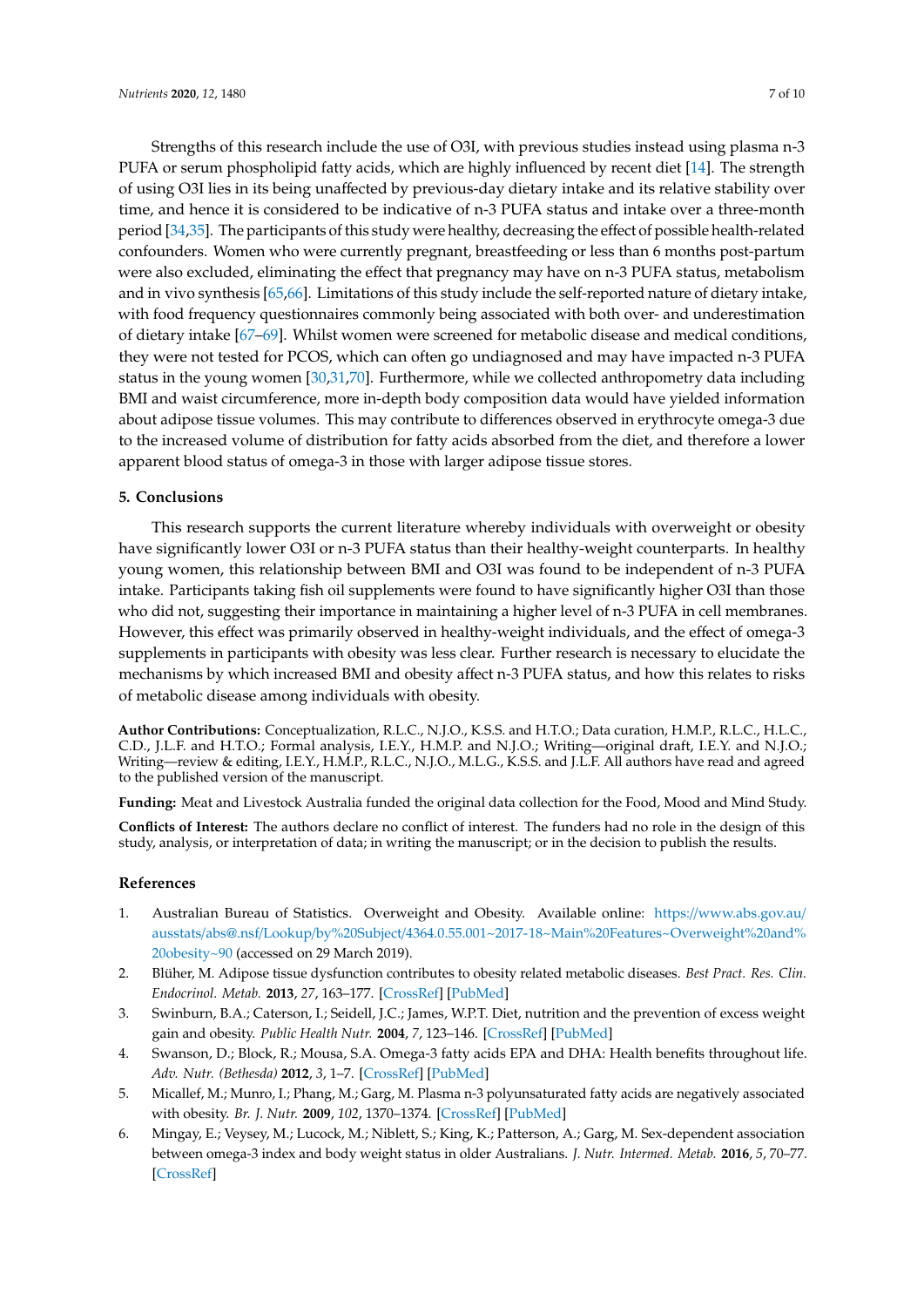Strengths of this research include the use of O3I, with previous studies instead using plasma n-3 PUFA or serum phospholipid fatty acids, which are highly influenced by recent diet [\[14\]](#page-7-7). The strength of using O3I lies in its being unaffected by previous-day dietary intake and its relative stability over time, and hence it is considered to be indicative of n-3 PUFA status and intake over a three-month period [\[34,](#page-8-5)[35\]](#page-8-16). The participants of this study were healthy, decreasing the effect of possible health-related confounders. Women who were currently pregnant, breastfeeding or less than 6 months post-partum were also excluded, eliminating the effect that pregnancy may have on n-3 PUFA status, metabolism and in vivo synthesis [\[65](#page-9-12)[,66\]](#page-9-13). Limitations of this study include the self-reported nature of dietary intake, with food frequency questionnaires commonly being associated with both over- and underestimation of dietary intake [\[67](#page-9-14)[–69\]](#page-9-15). Whilst women were screened for metabolic disease and medical conditions, they were not tested for PCOS, which can often go undiagnosed and may have impacted n-3 PUFA status in the young women [\[30](#page-8-1)[,31](#page-8-2)[,70\]](#page-9-16). Furthermore, while we collected anthropometry data including BMI and waist circumference, more in-depth body composition data would have yielded information about adipose tissue volumes. This may contribute to differences observed in erythrocyte omega-3 due to the increased volume of distribution for fatty acids absorbed from the diet, and therefore a lower apparent blood status of omega-3 in those with larger adipose tissue stores.

## **5. Conclusions**

This research supports the current literature whereby individuals with overweight or obesity have significantly lower O3I or n-3 PUFA status than their healthy-weight counterparts. In healthy young women, this relationship between BMI and O3I was found to be independent of n-3 PUFA intake. Participants taking fish oil supplements were found to have significantly higher O3I than those who did not, suggesting their importance in maintaining a higher level of n-3 PUFA in cell membranes. However, this effect was primarily observed in healthy-weight individuals, and the effect of omega-3 supplements in participants with obesity was less clear. Further research is necessary to elucidate the mechanisms by which increased BMI and obesity affect n-3 PUFA status, and how this relates to risks of metabolic disease among individuals with obesity.

**Author Contributions:** Conceptualization, R.L.C., N.J.O., K.S.S. and H.T.O.; Data curation, H.M.P., R.L.C., H.L.C., C.D., J.L.F. and H.T.O.; Formal analysis, I.E.Y., H.M.P. and N.J.O.; Writing—original draft, I.E.Y. and N.J.O.; Writing—review & editing, I.E.Y., H.M.P., R.L.C., N.J.O., M.L.G., K.S.S. and J.L.F. All authors have read and agreed to the published version of the manuscript.

**Funding:** Meat and Livestock Australia funded the original data collection for the Food, Mood and Mind Study.

**Conflicts of Interest:** The authors declare no conflict of interest. The funders had no role in the design of this study, analysis, or interpretation of data; in writing the manuscript; or in the decision to publish the results.

## **References**

- <span id="page-6-0"></span>1. Australian Bureau of Statistics. Overweight and Obesity. Available online: https://[www.abs.gov.au](https://www.abs.gov.au/ausstats/abs@.nsf/Lookup/by%20Subject/4364.0.55.001~2017-18~Main%20Features~Overweight%20and%20obesity~90)/ ausstats/abs@.nsf/Lookup/by%20Subject/[4364.0.55.001~2017-18~Main%20Features~Overweight%20and%](https://www.abs.gov.au/ausstats/abs@.nsf/Lookup/by%20Subject/4364.0.55.001~2017-18~Main%20Features~Overweight%20and%20obesity~90) [20obesity~90](https://www.abs.gov.au/ausstats/abs@.nsf/Lookup/by%20Subject/4364.0.55.001~2017-18~Main%20Features~Overweight%20and%20obesity~90) (accessed on 29 March 2019).
- <span id="page-6-1"></span>2. Blüher, M. Adipose tissue dysfunction contributes to obesity related metabolic diseases. *Best Pract. Res. Clin. Endocrinol. Metab.* **2013**, *27*, 163–177. [\[CrossRef\]](http://dx.doi.org/10.1016/j.beem.2013.02.005) [\[PubMed\]](http://www.ncbi.nlm.nih.gov/pubmed/23731879)
- <span id="page-6-2"></span>3. Swinburn, B.A.; Caterson, I.; Seidell, J.C.; James, W.P.T. Diet, nutrition and the prevention of excess weight gain and obesity. *Public Health Nutr.* **2004**, *7*, 123–146. [\[CrossRef\]](http://dx.doi.org/10.1079/PHN2003585) [\[PubMed\]](http://www.ncbi.nlm.nih.gov/pubmed/14972057)
- <span id="page-6-3"></span>4. Swanson, D.; Block, R.; Mousa, S.A. Omega-3 fatty acids EPA and DHA: Health benefits throughout life. *Adv. Nutr. (Bethesda)* **2012**, *3*, 1–7. [\[CrossRef\]](http://dx.doi.org/10.3945/an.111.000893) [\[PubMed\]](http://www.ncbi.nlm.nih.gov/pubmed/22332096)
- <span id="page-6-4"></span>5. Micallef, M.; Munro, I.; Phang, M.; Garg, M. Plasma n-3 polyunsaturated fatty acids are negatively associated with obesity. *Br. J. Nutr.* **2009**, *102*, 1370–1374. [\[CrossRef\]](http://dx.doi.org/10.1017/S0007114509382173) [\[PubMed\]](http://www.ncbi.nlm.nih.gov/pubmed/19454127)
- 6. Mingay, E.; Veysey, M.; Lucock, M.; Niblett, S.; King, K.; Patterson, A.; Garg, M. Sex-dependent association between omega-3 index and body weight status in older Australians. *J. Nutr. Intermed. Metab.* **2016**, *5*, 70–77. [\[CrossRef\]](http://dx.doi.org/10.1016/j.jnim.2016.04.001)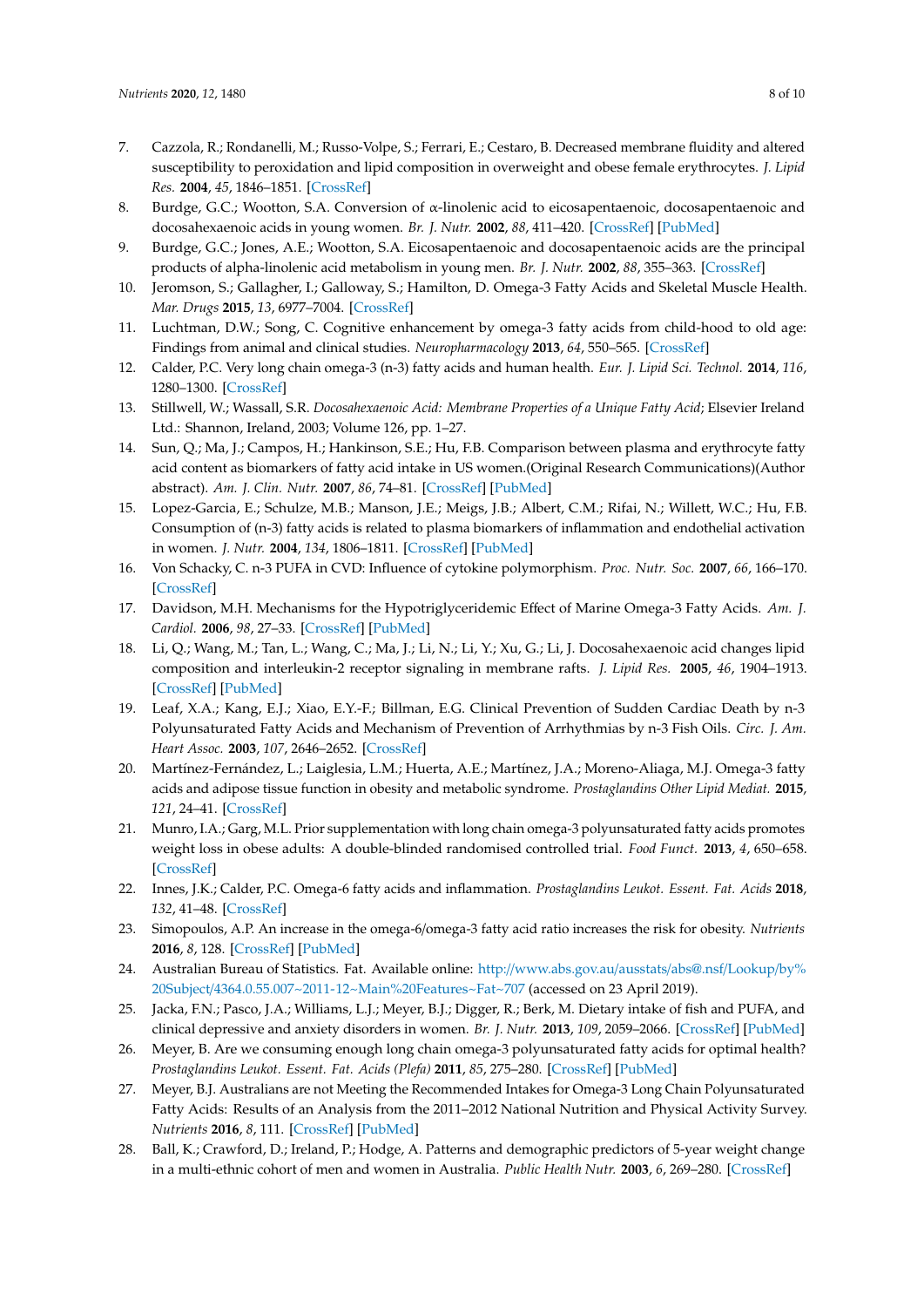- <span id="page-7-0"></span>7. Cazzola, R.; Rondanelli, M.; Russo-Volpe, S.; Ferrari, E.; Cestaro, B. Decreased membrane fluidity and altered susceptibility to peroxidation and lipid composition in overweight and obese female erythrocytes. *J. Lipid Res.* **2004**, *45*, 1846–1851. [\[CrossRef\]](http://dx.doi.org/10.1194/jlr.M300509-JLR200)
- <span id="page-7-1"></span>8. Burdge, G.C.; Wootton, S.A. Conversion of α-linolenic acid to eicosapentaenoic, docosapentaenoic and docosahexaenoic acids in young women. *Br. J. Nutr.* **2002**, *88*, 411–420. [\[CrossRef\]](http://dx.doi.org/10.1079/BJN2002689) [\[PubMed\]](http://www.ncbi.nlm.nih.gov/pubmed/12323090)
- <span id="page-7-3"></span>9. Burdge, G.C.; Jones, A.E.; Wootton, S.A. Eicosapentaenoic and docosapentaenoic acids are the principal products of alpha-linolenic acid metabolism in young men. *Br. J. Nutr.* **2002**, *88*, 355–363. [\[CrossRef\]](http://dx.doi.org/10.1079/BJN2002662)
- <span id="page-7-2"></span>10. Jeromson, S.; Gallagher, I.; Galloway, S.; Hamilton, D. Omega-3 Fatty Acids and Skeletal Muscle Health. *Mar. Drugs* **2015**, *13*, 6977–7004. [\[CrossRef\]](http://dx.doi.org/10.3390/md13116977)
- <span id="page-7-4"></span>11. Luchtman, D.W.; Song, C. Cognitive enhancement by omega-3 fatty acids from child-hood to old age: Findings from animal and clinical studies. *Neuropharmacology* **2013**, *64*, 550–565. [\[CrossRef\]](http://dx.doi.org/10.1016/j.neuropharm.2012.07.019)
- <span id="page-7-5"></span>12. Calder, P.C. Very long chain omega-3 (n-3) fatty acids and human health. *Eur. J. Lipid Sci. Technol.* **2014**, *116*, 1280–1300. [\[CrossRef\]](http://dx.doi.org/10.1002/ejlt.201400025)
- <span id="page-7-6"></span>13. Stillwell, W.; Wassall, S.R. *Docosahexaenoic Acid: Membrane Properties of a Unique Fatty Acid*; Elsevier Ireland Ltd.: Shannon, Ireland, 2003; Volume 126, pp. 1–27.
- <span id="page-7-7"></span>14. Sun, Q.; Ma, J.; Campos, H.; Hankinson, S.E.; Hu, F.B. Comparison between plasma and erythrocyte fatty acid content as biomarkers of fatty acid intake in US women.(Original Research Communications)(Author abstract). *Am. J. Clin. Nutr.* **2007**, *86*, 74–81. [\[CrossRef\]](http://dx.doi.org/10.1093/ajcn/86.1.74) [\[PubMed\]](http://www.ncbi.nlm.nih.gov/pubmed/17616765)
- 15. Lopez-Garcia, E.; Schulze, M.B.; Manson, J.E.; Meigs, J.B.; Albert, C.M.; Rifai, N.; Willett, W.C.; Hu, F.B. Consumption of (n-3) fatty acids is related to plasma biomarkers of inflammation and endothelial activation in women. *J. Nutr.* **2004**, *134*, 1806–1811. [\[CrossRef\]](http://dx.doi.org/10.1093/jn/134.7.1806) [\[PubMed\]](http://www.ncbi.nlm.nih.gov/pubmed/15226473)
- 16. Von Schacky, C. n-3 PUFA in CVD: Influence of cytokine polymorphism. *Proc. Nutr. Soc.* **2007**, *66*, 166–170. [\[CrossRef\]](http://dx.doi.org/10.1017/S0029665107005411)
- 17. Davidson, M.H. Mechanisms for the Hypotriglyceridemic Effect of Marine Omega-3 Fatty Acids. *Am. J. Cardiol.* **2006**, *98*, 27–33. [\[CrossRef\]](http://dx.doi.org/10.1016/j.amjcard.2005.12.024) [\[PubMed\]](http://www.ncbi.nlm.nih.gov/pubmed/16919514)
- 18. Li, Q.; Wang, M.; Tan, L.; Wang, C.; Ma, J.; Li, N.; Li, Y.; Xu, G.; Li, J. Docosahexaenoic acid changes lipid composition and interleukin-2 receptor signaling in membrane rafts. *J. Lipid Res.* **2005**, *46*, 1904–1913. [\[CrossRef\]](http://dx.doi.org/10.1194/jlr.M500033-JLR200) [\[PubMed\]](http://www.ncbi.nlm.nih.gov/pubmed/15930520)
- <span id="page-7-8"></span>19. Leaf, X.A.; Kang, E.J.; Xiao, E.Y.-F.; Billman, E.G. Clinical Prevention of Sudden Cardiac Death by n-3 Polyunsaturated Fatty Acids and Mechanism of Prevention of Arrhythmias by n-3 Fish Oils. *Circ. J. Am. Heart Assoc.* **2003**, *107*, 2646–2652. [\[CrossRef\]](http://dx.doi.org/10.1161/01.CIR.0000069566.78305.33)
- <span id="page-7-9"></span>20. Martínez-Fernández, L.; Laiglesia, L.M.; Huerta, A.E.; Martínez, J.A.; Moreno-Aliaga, M.J. Omega-3 fatty acids and adipose tissue function in obesity and metabolic syndrome. *Prostaglandins Other Lipid Mediat.* **2015**, *121*, 24–41. [\[CrossRef\]](http://dx.doi.org/10.1016/j.prostaglandins.2015.07.003)
- <span id="page-7-10"></span>21. Munro, I.A.; Garg, M.L. Prior supplementation with long chain omega-3 polyunsaturated fatty acids promotes weight loss in obese adults: A double-blinded randomised controlled trial. *Food Funct.* **2013**, *4*, 650–658. [\[CrossRef\]](http://dx.doi.org/10.1039/c3fo60038f)
- <span id="page-7-11"></span>22. Innes, J.K.; Calder, P.C. Omega-6 fatty acids and inflammation. *Prostaglandins Leukot. Essent. Fat. Acids* **2018**, *132*, 41–48. [\[CrossRef\]](http://dx.doi.org/10.1016/j.plefa.2018.03.004)
- <span id="page-7-12"></span>23. Simopoulos, A.P. An increase in the omega-6/omega-3 fatty acid ratio increases the risk for obesity. *Nutrients* **2016**, *8*, 128. [\[CrossRef\]](http://dx.doi.org/10.3390/nu8030128) [\[PubMed\]](http://www.ncbi.nlm.nih.gov/pubmed/26950145)
- <span id="page-7-13"></span>24. Australian Bureau of Statistics. Fat. Available online: http://[www.abs.gov.au](http://www.abs.gov.au/ausstats/abs@.nsf/Lookup/by%20Subject/4364.0.55.007~2011-12~Main%20Features~Fat~707)/ausstats/abs@.nsf/Lookup/by% 20Subject/[4364.0.55.007~2011-12~Main%20Features~Fat~707](http://www.abs.gov.au/ausstats/abs@.nsf/Lookup/by%20Subject/4364.0.55.007~2011-12~Main%20Features~Fat~707) (accessed on 23 April 2019).
- 25. Jacka, F.N.; Pasco, J.A.; Williams, L.J.; Meyer, B.J.; Digger, R.; Berk, M. Dietary intake of fish and PUFA, and clinical depressive and anxiety disorders in women. *Br. J. Nutr.* **2013**, *109*, 2059–2066. [\[CrossRef\]](http://dx.doi.org/10.1017/S0007114512004102) [\[PubMed\]](http://www.ncbi.nlm.nih.gov/pubmed/23051591)
- <span id="page-7-14"></span>26. Meyer, B. Are we consuming enough long chain omega-3 polyunsaturated fatty acids for optimal health? *Prostaglandins Leukot. Essent. Fat. Acids (Plefa)* **2011**, *85*, 275–280. [\[CrossRef\]](http://dx.doi.org/10.1016/j.plefa.2011.04.010) [\[PubMed\]](http://www.ncbi.nlm.nih.gov/pubmed/21571516)
- <span id="page-7-15"></span>27. Meyer, B.J. Australians are not Meeting the Recommended Intakes for Omega-3 Long Chain Polyunsaturated Fatty Acids: Results of an Analysis from the 2011–2012 National Nutrition and Physical Activity Survey. *Nutrients* **2016**, *8*, 111. [\[CrossRef\]](http://dx.doi.org/10.3390/nu8030111) [\[PubMed\]](http://www.ncbi.nlm.nih.gov/pubmed/26927162)
- <span id="page-7-16"></span>28. Ball, K.; Crawford, D.; Ireland, P.; Hodge, A. Patterns and demographic predictors of 5-year weight change in a multi-ethnic cohort of men and women in Australia. *Public Health Nutr.* **2003**, *6*, 269–280. [\[CrossRef\]](http://dx.doi.org/10.1079/PHN2002431)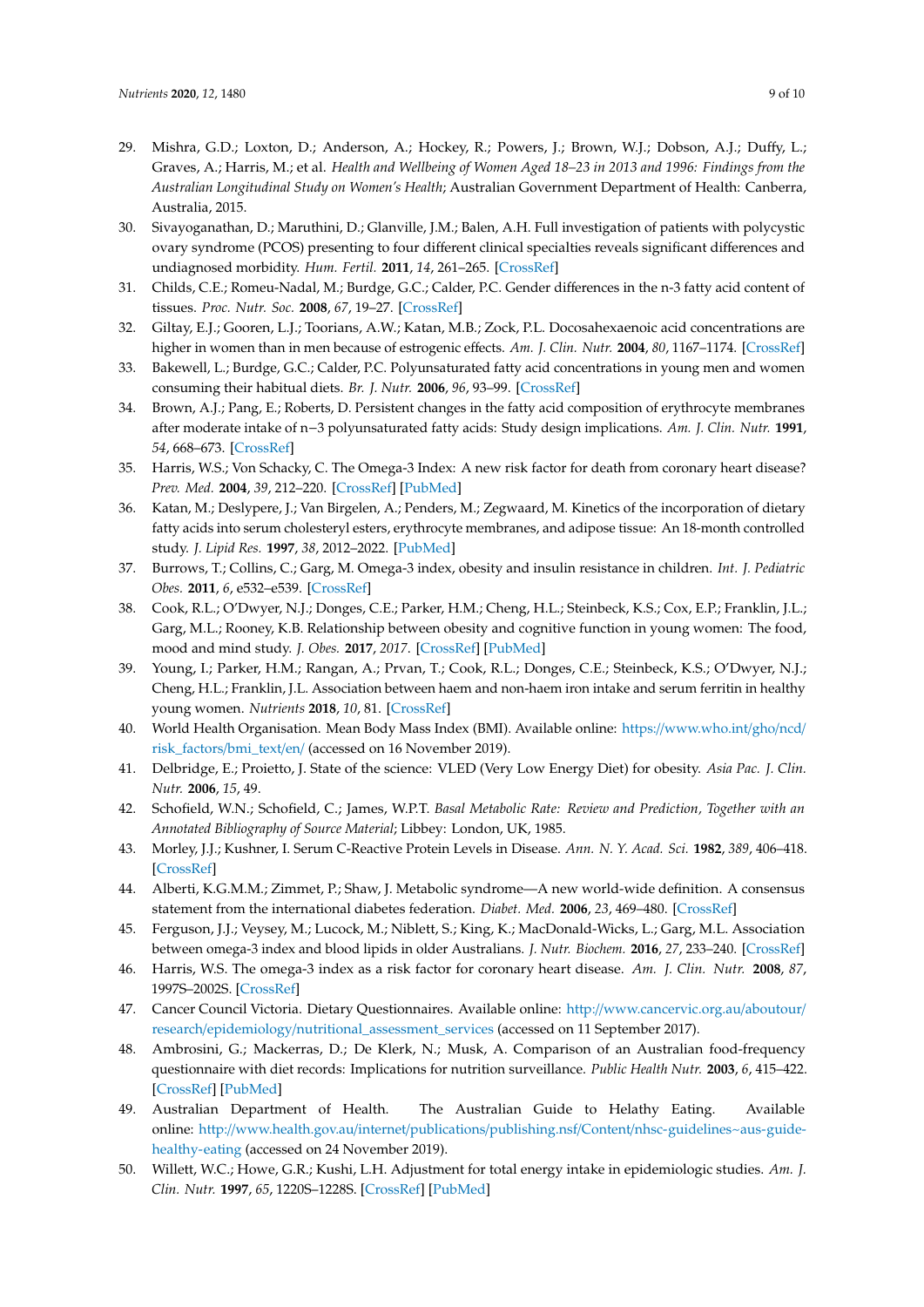- <span id="page-8-0"></span>29. Mishra, G.D.; Loxton, D.; Anderson, A.; Hockey, R.; Powers, J.; Brown, W.J.; Dobson, A.J.; Duffy, L.; Graves, A.; Harris, M.; et al. *Health and Wellbeing of Women Aged 18–23 in 2013 and 1996: Findings from the Australian Longitudinal Study on Women's Health*; Australian Government Department of Health: Canberra, Australia, 2015.
- <span id="page-8-1"></span>30. Sivayoganathan, D.; Maruthini, D.; Glanville, J.M.; Balen, A.H. Full investigation of patients with polycystic ovary syndrome (PCOS) presenting to four different clinical specialties reveals significant differences and undiagnosed morbidity. *Hum. Fertil.* **2011**, *14*, 261–265. [\[CrossRef\]](http://dx.doi.org/10.3109/14647273.2011.632058)
- <span id="page-8-2"></span>31. Childs, C.E.; Romeu-Nadal, M.; Burdge, G.C.; Calder, P.C. Gender differences in the n-3 fatty acid content of tissues. *Proc. Nutr. Soc.* **2008**, *67*, 19–27. [\[CrossRef\]](http://dx.doi.org/10.1017/S0029665108005983)
- <span id="page-8-3"></span>32. Giltay, E.J.; Gooren, L.J.; Toorians, A.W.; Katan, M.B.; Zock, P.L. Docosahexaenoic acid concentrations are higher in women than in men because of estrogenic effects. *Am. J. Clin. Nutr.* **2004**, *80*, 1167–1174. [\[CrossRef\]](http://dx.doi.org/10.1093/ajcn/80.5.1167)
- <span id="page-8-4"></span>33. Bakewell, L.; Burdge, G.C.; Calder, P.C. Polyunsaturated fatty acid concentrations in young men and women consuming their habitual diets. *Br. J. Nutr.* **2006**, *96*, 93–99. [\[CrossRef\]](http://dx.doi.org/10.1079/BJN20061801)
- <span id="page-8-5"></span>34. Brown, A.J.; Pang, E.; Roberts, D. Persistent changes in the fatty acid composition of erythrocyte membranes after moderate intake of n−3 polyunsaturated fatty acids: Study design implications. *Am. J. Clin. Nutr.* **1991**, *54*, 668–673. [\[CrossRef\]](http://dx.doi.org/10.1093/ajcn/54.4.668)
- <span id="page-8-16"></span>35. Harris, W.S.; Von Schacky, C. The Omega-3 Index: A new risk factor for death from coronary heart disease? *Prev. Med.* **2004**, *39*, 212–220. [\[CrossRef\]](http://dx.doi.org/10.1016/j.ypmed.2004.02.030) [\[PubMed\]](http://www.ncbi.nlm.nih.gov/pubmed/15208005)
- <span id="page-8-6"></span>36. Katan, M.; Deslypere, J.; Van Birgelen, A.; Penders, M.; Zegwaard, M. Kinetics of the incorporation of dietary fatty acids into serum cholesteryl esters, erythrocyte membranes, and adipose tissue: An 18-month controlled study. *J. Lipid Res.* **1997**, *38*, 2012–2022. [\[PubMed\]](http://www.ncbi.nlm.nih.gov/pubmed/9374124)
- <span id="page-8-7"></span>37. Burrows, T.; Collins, C.; Garg, M. Omega-3 index, obesity and insulin resistance in children. *Int. J. Pediatric Obes.* **2011**, *6*, e532–e539. [\[CrossRef\]](http://dx.doi.org/10.3109/17477166.2010.549489)
- <span id="page-8-8"></span>38. Cook, R.L.; O'Dwyer, N.J.; Donges, C.E.; Parker, H.M.; Cheng, H.L.; Steinbeck, K.S.; Cox, E.P.; Franklin, J.L.; Garg, M.L.; Rooney, K.B. Relationship between obesity and cognitive function in young women: The food, mood and mind study. *J. Obes.* **2017**, *2017*. [\[CrossRef\]](http://dx.doi.org/10.1155/2017/5923862) [\[PubMed\]](http://www.ncbi.nlm.nih.gov/pubmed/29291133)
- <span id="page-8-9"></span>39. Young, I.; Parker, H.M.; Rangan, A.; Prvan, T.; Cook, R.L.; Donges, C.E.; Steinbeck, K.S.; O'Dwyer, N.J.; Cheng, H.L.; Franklin, J.L. Association between haem and non-haem iron intake and serum ferritin in healthy young women. *Nutrients* **2018**, *10*, 81. [\[CrossRef\]](http://dx.doi.org/10.3390/nu10010081)
- <span id="page-8-10"></span>40. World Health Organisation. Mean Body Mass Index (BMI). Available online: https://[www.who.int](https://www.who.int/gho/ncd/risk_factors/bmi_text/en/)/gho/ncd/ [risk\\_factors](https://www.who.int/gho/ncd/risk_factors/bmi_text/en/)/bmi\_text/en/ (accessed on 16 November 2019).
- <span id="page-8-11"></span>41. Delbridge, E.; Proietto, J. State of the science: VLED (Very Low Energy Diet) for obesity. *Asia Pac. J. Clin. Nutr.* **2006**, *15*, 49.
- <span id="page-8-12"></span>42. Schofield, W.N.; Schofield, C.; James, W.P.T. *Basal Metabolic Rate: Review and Prediction, Together with an Annotated Bibliography of Source Material*; Libbey: London, UK, 1985.
- <span id="page-8-13"></span>43. Morley, J.J.; Kushner, I. Serum C-Reactive Protein Levels in Disease. *Ann. N. Y. Acad. Sci.* **1982**, *389*, 406–418. [\[CrossRef\]](http://dx.doi.org/10.1111/j.1749-6632.1982.tb22153.x)
- <span id="page-8-14"></span>44. Alberti, K.G.M.M.; Zimmet, P.; Shaw, J. Metabolic syndrome—A new world-wide definition. A consensus statement from the international diabetes federation. *Diabet. Med.* **2006**, *23*, 469–480. [\[CrossRef\]](http://dx.doi.org/10.1111/j.1464-5491.2006.01858.x)
- <span id="page-8-15"></span>45. Ferguson, J.J.; Veysey, M.; Lucock, M.; Niblett, S.; King, K.; MacDonald-Wicks, L.; Garg, M.L. Association between omega-3 index and blood lipids in older Australians. *J. Nutr. Biochem.* **2016**, *27*, 233–240. [\[CrossRef\]](http://dx.doi.org/10.1016/j.jnutbio.2015.09.010)
- <span id="page-8-17"></span>46. Harris, W.S. The omega-3 index as a risk factor for coronary heart disease. *Am. J. Clin. Nutr.* **2008**, *87*, 1997S–2002S. [\[CrossRef\]](http://dx.doi.org/10.1093/ajcn/87.6.1997S)
- <span id="page-8-18"></span>47. Cancer Council Victoria. Dietary Questionnaires. Available online: http://[www.cancervic.org.au](http://www.cancervic.org.au/aboutour/research/epidemiology/nutritional_assessment_services)/aboutour/ research/epidemiology/[nutritional\\_assessment\\_services](http://www.cancervic.org.au/aboutour/research/epidemiology/nutritional_assessment_services) (accessed on 11 September 2017).
- <span id="page-8-19"></span>48. Ambrosini, G.; Mackerras, D.; De Klerk, N.; Musk, A. Comparison of an Australian food-frequency questionnaire with diet records: Implications for nutrition surveillance. *Public Health Nutr.* **2003**, *6*, 415–422. [\[CrossRef\]](http://dx.doi.org/10.1079/PHN2002434) [\[PubMed\]](http://www.ncbi.nlm.nih.gov/pubmed/12795831)
- <span id="page-8-20"></span>49. Australian Department of Health. The Australian Guide to Helathy Eating. Available online: http://www.health.gov.au/internet/publications/publishing.nsf/Content/[nhsc-guidelines~aus-guide](http://www.health.gov.au/internet/publications/publishing.nsf/Content/nhsc-guidelines~aus-guide-healthy-eating)[healthy-eating](http://www.health.gov.au/internet/publications/publishing.nsf/Content/nhsc-guidelines~aus-guide-healthy-eating) (accessed on 24 November 2019).
- <span id="page-8-21"></span>50. Willett, W.C.; Howe, G.R.; Kushi, L.H. Adjustment for total energy intake in epidemiologic studies. *Am. J. Clin. Nutr.* **1997**, *65*, 1220S–1228S. [\[CrossRef\]](http://dx.doi.org/10.1093/ajcn/65.4.1220S) [\[PubMed\]](http://www.ncbi.nlm.nih.gov/pubmed/9094926)